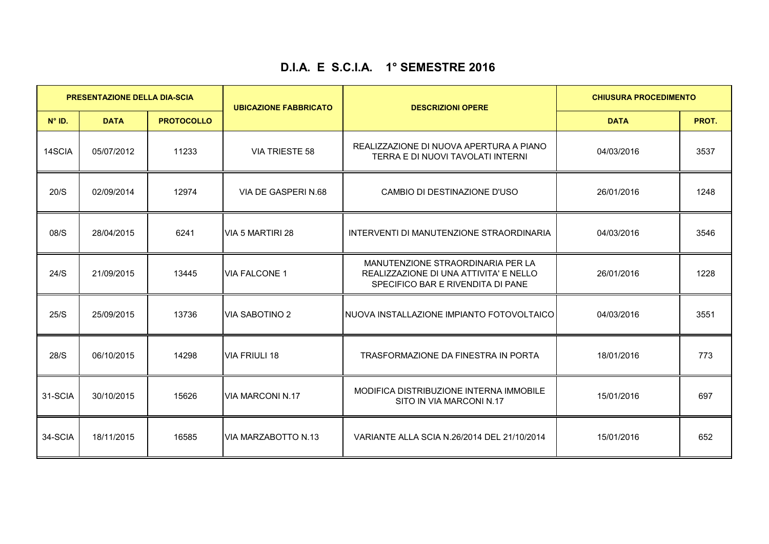## **D.I.A. E S.C.I.A. 1° SEMESTRE 2016**

| <b>PRESENTAZIONE DELLA DIA-SCIA</b> |             |                   | <b>UBICAZIONE FABBRICATO</b> | <b>DESCRIZIONI OPERE</b>                                                                                         | <b>CHIUSURA PROCEDIMENTO</b> |       |
|-------------------------------------|-------------|-------------------|------------------------------|------------------------------------------------------------------------------------------------------------------|------------------------------|-------|
| $N^{\circ}$ ID.                     | <b>DATA</b> | <b>PROTOCOLLO</b> |                              |                                                                                                                  | <b>DATA</b>                  | PROT. |
| 14SCIA                              | 05/07/2012  | 11233             | <b>VIA TRIESTE 58</b>        | REALIZZAZIONE DI NUOVA APERTURA A PIANO<br>TERRA E DI NUOVI TAVOLATI INTERNI                                     | 04/03/2016                   | 3537  |
| 20/S                                | 02/09/2014  | 12974             | VIA DE GASPERI N.68          | CAMBIO DI DESTINAZIONE D'USO                                                                                     | 26/01/2016                   | 1248  |
| 08/S                                | 28/04/2015  | 6241              | VIA 5 MARTIRI 28             | INTERVENTI DI MANUTENZIONE STRAORDINARIA                                                                         | 04/03/2016                   | 3546  |
| 24/S                                | 21/09/2015  | 13445             | <b>VIA FALCONE 1</b>         | MANUTENZIONE STRAORDINARIA PER LA<br>REALIZZAZIONE DI UNA ATTIVITA' E NELLO<br>SPECIFICO BAR E RIVENDITA DI PANE | 26/01/2016                   | 1228  |
| 25/S                                | 25/09/2015  | 13736             | VIA SABOTINO 2               | INUOVA INSTALLAZIONE IMPIANTO FOTOVOLTAICO                                                                       | 04/03/2016                   | 3551  |
| 28/S                                | 06/10/2015  | 14298             | <b>VIA FRIULI 18</b>         | TRASFORMAZIONE DA FINESTRA IN PORTA                                                                              | 18/01/2016                   | 773   |
| 31-SCIA                             | 30/10/2015  | 15626             | <b>VIA MARCONI N.17</b>      | MODIFICA DISTRIBUZIONE INTERNA IMMOBILE<br>SITO IN VIA MARCONI N.17                                              | 15/01/2016                   | 697   |
| 34-SCIA                             | 18/11/2015  | 16585             | <b>VIA MARZABOTTO N.13</b>   | VARIANTE ALLA SCIA N.26/2014 DEL 21/10/2014                                                                      | 15/01/2016                   | 652   |